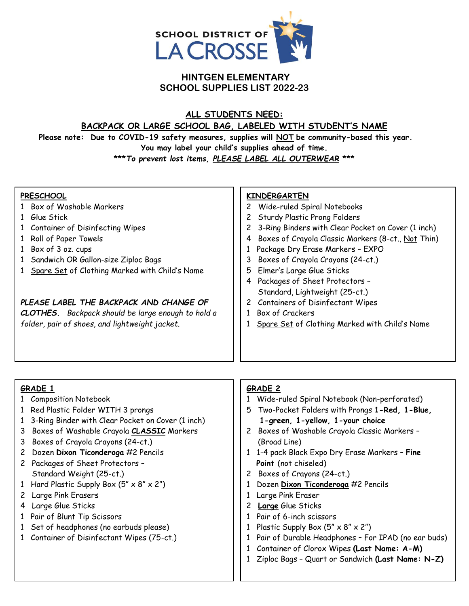

## **HINTGEN ELEMENTARY SCHOOL SUPPLIES LIST 2022-23**

#### **ALL STUDENTS NEED:**

# **BACKPACK OR LARGE SCHOOL BAG, LABELED WITH STUDENT'S NAME**

**Please note: Due to COVID-19 safety measures, supplies will NOT be community-based this year. You may label your child's supplies ahead of time.**

**\*\*\****To prevent lost items, PLEASE LABEL ALL OUTERWEAR* **\*\*\*** 

#### **PRESCHOOL**

- 1 Box of Washable Markers
- 1 Glue Stick
- 1 Container of Disinfecting Wipes
- 1 Roll of Paper Towels
- 1 Box of 3 oz. cups
- 1 Sandwich OR Gallon-size Ziploc Bags
- 1 Spare Set of Clothing Marked with Child's Name

## *PLEASE LABEL THE BACKPACK AND CHANGE OF*

*CLOTHES. Backpack should be large enough to hold a folder, pair of shoes, and lightweight jacket.*

# **KINDERGARTEN**

- 2 Wide-ruled Spiral Notebooks
- 2 Sturdy Plastic Prong Folders
- 2 3-Ring Binders with Clear Pocket on Cover (1 inch)
- 4 Boxes of Crayola Classic Markers (8-ct., Not Thin)
- 1 Package Dry Erase Markers EXPO
- 3 Boxes of Crayola Crayons (24-ct.)
- 5 Elmer's Large Glue Sticks
- 4 Packages of Sheet Protectors Standard, Lightweight (25-ct.)
- 2 Containers of Disinfectant Wipes
- 1 Box of Crackers
- 1 Spare Set of Clothing Marked with Child's Name

#### **GRADE 1**

- 1 Composition Notebook
- 1 Red Plastic Folder WITH 3 prongs
- 1 3-Ring Binder with Clear Pocket on Cover (1 inch)
- 3 Boxes of Washable Crayola **CLASSIC** Markers
- 3 Boxes of Crayola Crayons (24-ct.)
- 2 Dozen **Dixon Ticonderoga** #2 Pencils
- 2 Packages of Sheet Protectors Standard Weight (25-ct.)
- 1 Hard Plastic Supply Box  $(5'' \times 8'' \times 2'')$
- 2 Large Pink Erasers
- 4 Large Glue Sticks
- 1 Pair of Blunt Tip Scissors
- 1 Set of headphones (no earbuds please)
- 1 Container of Disinfectant Wipes (75-ct.)

#### **GRADE 2**

- 1 Wide-ruled Spiral Notebook (Non-perforated)
- 5 Two-Pocket Folders with Prongs **1-Red, 1-Blue, 1-green, 1-yellow, 1-your choice**
- 2 Boxes of Washable Crayola Classic Markers (Broad Line)
- 1 1-4 pack Black Expo Dry Erase Markers **Fine Point** (not chiseled)
- 2 Boxes of Crayons (24-ct.)
- 1 Dozen **Dixon Ticonderoga** #2 Pencils
- 1 Large Pink Eraser
- 2 **Large** Glue Sticks
- 1 Pair of 6-inch scissors
- 1 Plastic Supply Box  $(5'' \times 8'' \times 2'')$
- 1 Pair of Durable Headphones For IPAD (no ear buds)
- 1 Container of Clorox Wipes **(Last Name: A-M)**
- 1 Ziploc Bags Quart or Sandwich **(Last Name: N-Z)**